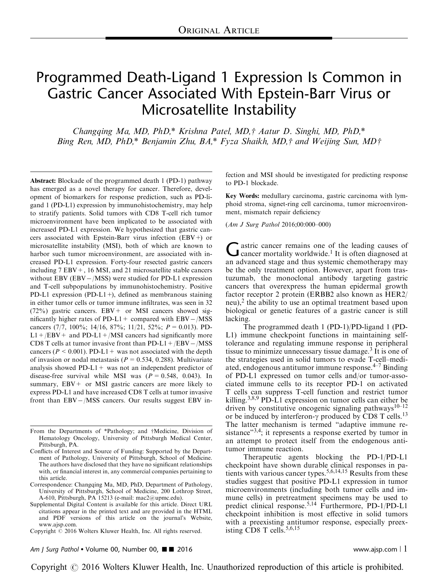# Programmed Death-Ligand 1 Expression Is Common in Gastric Cancer Associated With Epstein-Barr Virus or Microsatellite Instability

Changqing Ma, MD, PhD,\* Krishna Patel, MD,† Aatur D. Singhi, MD, PhD,\* Bing Ren, MD, PhD,\* Benjamin Zhu, BA,\* Fyza Shaikh, MD,† and Weijing Sun, MD†

Abstract: Blockade of the programmed death 1 (PD-1) pathway has emerged as a novel therapy for cancer. Therefore, development of biomarkers for response prediction, such as PD-ligand 1 (PD-L1) expression by immunohistochemistry, may help to stratify patients. Solid tumors with CD8 T-cell rich tumor microenvironment have been implicated to be associated with increased PD-L1 expression. We hypothesized that gastric cancers associated with Epstein-Barr virus infection (EBV+) or microsatellite instability (MSI), both of which are known to harbor such tumor microenvironment, are associated with increased PD-L1 expression. Forty-four resected gastric cancers including 7 EBV+, 16 MSI, and 21 microsatellite stable cancers without EBV (EBV -/MSS) were studied for PD-L1 expression and T-cell subpopulations by immunohistochemistry. Positive PD-L1 expression (PD-L1+), defined as membranous staining in either tumor cells or tumor immune infiltrates, was seen in 32  $(72%)$  gastric cancers. EBV + or MSI cancers showed significantly higher rates of  $PD-L1$  + compared with  $EBV - / MSS$ cancers (7/7, 100%; 14/16, 87%; 11/21, 52%;  $P = 0.013$ ). PD- $L1 + /EBV$  and PD-L1 + /MSI cancers had significantly more CD8 T cells at tumor invasive front than  $PD-L1 + / EBV - / MSS$ cancers ( $P < 0.001$ ). PD-L1 + was not associated with the depth of invasion or nodal metastasis ( $P = 0.534, 0.288$ ). Multivariate analysis showed PD-L1+ was not an independent predictor of disease-free survival while MSI was  $(P = 0.548, 0.043)$ . In summary,  $EBV + or MSI$  gastric cancers are more likely to express PD-L1 and have increased CD8 T cells at tumor invasive front than EBV-/MSS cancers. Our results suggest EBV in-

From the Departments of \*Pathology; and †Medicine, Division of Hematology Oncology, University of Pittsburgh Medical Center, Pittsburgh, PA.

Correspondence: Changqing Ma, MD, PhD, Department of Pathology, University of Pittsburgh, School of Medicine, 200 Lothrop Street, A-610, Pittsburgh, PA 15213 (e-mail: [mac2@upmc.edu\)](mailto:mac2@upmc.edu).

Supplemental Digital Content is available for this article. Direct URL citations appear in the printed text and are provided in the HTML and PDF versions of this article on the journal's Website, [www.ajsp.com.](http://www.ajsp.com)

Copyright  $\odot$  2016 Wolters Kluwer Health, Inc. All rights reserved.

fection and MSI should be investigated for predicting response to PD-1 blockade.

Key Words: medullary carcinoma, gastric carcinoma with lymphoid stroma, signet-ring cell carcinoma, tumor microenvironment, mismatch repair deficiency

(Am J Surg Pathol 2016;00:000–000)

 $\int$  astric cancer remains one of the leading causes of cancer mortality worldwide.<sup>[1](#page-9-0)</sup> It is often diagnosed at an advanced stage and thus systemic chemotherapy may be the only treatment option. However, apart from trastuzumab, the monoclonal antibody targeting gastric cancers that overexpress the human epidermal growth factor receptor 2 protein (ERBB2 also known as HER2/ neu), $<sup>2</sup>$  $<sup>2</sup>$  $<sup>2</sup>$  the ability to use an optimal treatment based upon</sup> biological or genetic features of a gastric cancer is still lacking.

The programmed death 1 (PD-1)/PD-ligand 1 (PD-L1) immune checkpoint functions in maintaining selftolerance and regulating immune response in peripheral tissue to minimize unnecessary tissue damage.[3](#page-9-0) It is one of the strategies used in solid tumors to evade T-cell–mediated, endogenous antitumor immune response. $4-7$  Binding of PD-L1 expressed on tumor cells and/or tumor-associated immune cells to its receptor PD-1 on activated T cells can suppress T-cell function and restrict tumor killing.[3,8,9](#page-9-0) PD-L1 expression on tumor cells can either be driven by constitutive oncogenic signaling pathways<sup>[10–12](#page-9-0)</sup> or be induced by interferon- $\gamma$  produced by CD8 T cells.<sup>[13](#page-9-0)</sup> The latter mechanism is termed "adaptive immune resistance"<sup>3,4</sup>; it represents a response exerted by tumor in an attempt to protect itself from the endogenous antitumor immune reaction.

Therapeutic agents blocking the PD-1/PD-L1 checkpoint have shown durable clinical responses in patients with various cancer types.[5,6,14,15](#page-9-0) Results from these studies suggest that positive PD-L1 expression in tumor microenvironments (including both tumor cells and immune cells) in pretreatment specimens may be used to predict clinical response.[5,14](#page-9-0) Furthermore, PD-1/PD-L1 checkpoint inhibition is most effective in solid tumors with a preexisting antitumor response, especially preexisting  $CD8$  T cells.<sup>5,6,15</sup>

Am J Surg Pathol • Volume 00, Number 00,  $\blacksquare$  2016 www.ajsp.com | 1

Conflicts of Interest and Source of Funding: Supported by the Department of Pathology, University of Pittsburgh, School of Medicine. The authors have disclosed that they have no significant relationships with, or financial interest in, any commercial companies pertaining to this article.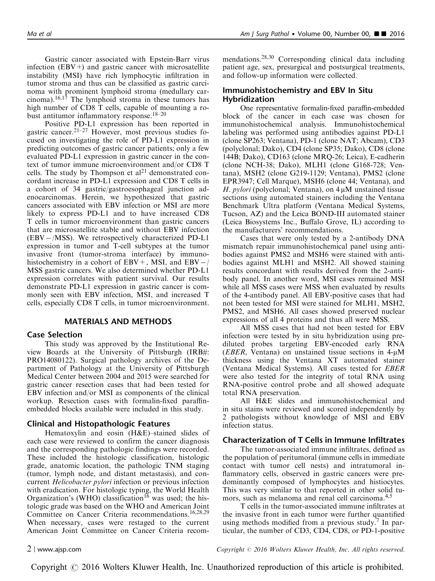Gastric cancer associated with Epstein-Barr virus infection  $(EBV+)$  and gastric cancer with microsatellite instability (MSI) have rich lymphocytic infiltration in tumor stroma and thus can be classified as gastric carcinoma with prominent lymphoid stroma (medullary car $cinoma)$ .<sup>[16,17](#page-9-0)</sup> The lymphoid stroma in these tumors has high number of CD8 T cells, capable of mounting a robust antitumor inflammatory response.[18–20](#page-9-0)

Positive PD-L1 expression has been reported in gastric cancer.[21–27](#page-10-0) However, most previous studies focused on investigating the role of PD-L1 expression in predicting outcomes of gastric cancer patients; only a few evaluated PD-L1 expression in gastric cancer in the context of tumor immune microenvironment and/or CD8 T cells. The study by Thompson et  $al<sup>21</sup>$  $al<sup>21</sup>$  $al<sup>21</sup>$  demonstrated concordant increase in PD-L1 expression and CD8 T cells in a cohort of 34 gastric/gastroesophageal junction adenocarcinomas. Herein, we hypothesized that gastric cancers associated with EBV infection or MSI are more likely to express PD-L1 and to have increased CD8 T cells in tumor microenvironment than gastric cancers that are microsatellite stable and without EBV infection (EBV-/MSS). We retrospectively characterized PD-L1 expression in tumor and T-cell subtypes at the tumor invasive front (tumor-stroma interface) by immunohistochemistry in a cohort of  $EBV +$ , MSI, and  $EBV - /$ MSS gastric cancers. We also determined whether PD-L1 expression correlates with patient survival. Our results demonstrate PD-L1 expression in gastric cancer is commonly seen with EBV infection, MSI, and increased T cells, especially CD8 T cells, in tumor microenvironment.

#### MATERIALS AND METHODS

#### Case Selection

This study was approved by the Institutional Review Boards at the University of Pittsburgh (IRB#: PRO14080122). Surgical pathology archives of the Department of Pathology at the University of Pittsburgh Medical Center between 2004 and 2015 were searched for gastric cancer resection cases that had been tested for EBV infection and/or MSI as components of the clinical workup. Resection cases with formalin-fixed paraffinembedded blocks available were included in this study.

#### Clinical and Histopathologic Features

Hematoxylin and eosin (H&E)–stained slides of each case were reviewed to confirm the cancer diagnosis and the corresponding pathologic findings were recorded. These included the histologic classification, histologic grade, anatomic location, the pathologic TNM staging (tumor, lymph node, and distant metastasis), and concurrent Helicobacter pylori infection or previous infection with eradication. For histologic typing, the World Health Organization's (WHO) classification<sup>[16](#page-9-0)</sup> was used; the histologic grade was based on the WHO and American Joint Committee on Cancer Criteria recommendations.[16,28,29](#page-9-0) When necessary, cases were restaged to the current American Joint Committee on Cancer Criteria recommendations.[28,30](#page-10-0) Corresponding clinical data including patient age, sex, presurgical and postsurgical treatments, and follow-up information were collected.

### Immunohistochemistry and EBV In Situ Hybridization

One representative formalin-fixed paraffin-embedded block of the cancer in each case was chosen for immunohistochemical analysis. Immunohistochemical labeling was performed using antibodies against PD-L1 (clone SP263; Ventana), PD-1 (clone NAT; Abcam), CD3 (polyclonal; Dako), CD4 (clone SP35; Dako), CD8 (clone 144B; Dako), CD163 (clone MRQ-26; Leica), E-cadherin (clone NCH-38; Dako), MLH1 (clone G168-728; Ventana), MSH2 (clone G219-1129; Ventana), PMS2 (clone EPR3947; Cell Marque), MSH6 (clone 44; Ventana), and H. pylori (polyclonal; Ventana), on  $4 \mu M$  unstained tissue sections using automated stainers including the Ventana Benchmark Ultra platform (Ventana Medical Systems, Tucson, AZ) and the Leica BOND-III automated stainer (Leica Biosystems Inc., Buffalo Grove, IL) according to the manufacturers' recommendations.

Cases that were only tested by a 2-antibody DNA mismatch repair immunohistochemical panel using antibodies against PMS2 and MSH6 were stained with antibodies against MLH1 and MSH2. All showed staining results concordant with results derived from the 2-antibody panel. In another word, MSI cases remained MSI while all MSS cases were MSS when evaluated by results of the 4-antibody panel. All EBV-positive cases that had not been tested for MSI were stained for MLH1, MSH2, PMS2, and MSH6. All cases showed preserved nuclear expressions of all 4 proteins and thus all were MSS.

All MSS cases that had not been tested for EBV infection were tested by in situ hybridization using prediluted probes targeting EBV-encoded early RNA ( $EBER$ , Ventana) on unstained tissue sections in 4- $\mu$ M thickness using the Ventana XT automated stainer (Ventana Medical Systems). All cases tested for EBER were also tested for the integrity of total RNA using RNA-positive control probe and all showed adequate total RNA preservation.

All H&E slides and immunohistochemical and in situ stains were reviewed and scored independently by 2 pathologists without knowledge of MSI and EBV infection status.

#### Characterization of T Cells in Immune Infiltrates

The tumor-associated immune infiltrates, defined as the population of peritumoral (immune cells in immediate contact with tumor cell nests) and intratumoral inflammatory cells, observed in gastric cancers were predominantly composed of lymphocytes and histiocytes. This was very similar to that reported in other solid tu-mors, such as melanoma and renal cell carcinoma.<sup>[4,5](#page-9-0)</sup>

T cells in the tumor-associated immune infiltrates at the invasive front in each tumor were further quantified using methods modified from a previous study.<sup>[7](#page-9-0)</sup> In particular, the number of CD3, CD4, CD8, or PD-1-positive

2 <sup>|</sup> www.ajsp.com Copyright <sup>r</sup> 2016 Wolters Kluwer Health, Inc. All rights reserved.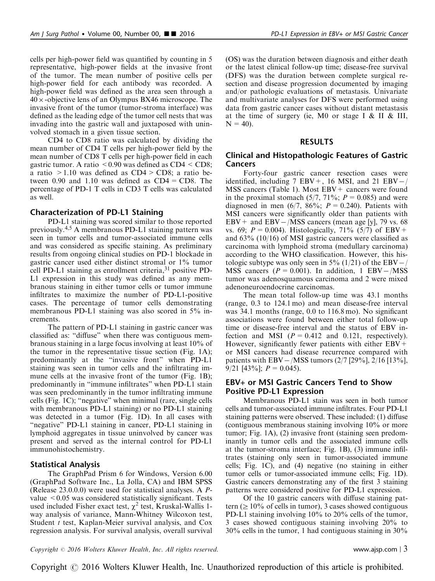cells per high-power field was quantified by counting in 5 representative, high-power fields at the invasive front of the tumor. The mean number of positive cells per high-power field for each antibody was recorded. A high-power field was defined as the area seen through a  $40 \times$ -objective lens of an Olympus BX46 microscope. The invasive front of the tumor (tumor-stroma interface) was defined as the leading edge of the tumor cell nests that was invading into the gastric wall and juxtaposed with uninvolved stomach in a given tissue section.

CD4 to CD8 ratio was calculated by dividing the mean number of CD4 T cells per high-power field by the mean number of CD8 T cells per high-power field in each gastric tumor. A ratio  $\leq 0.90$  was defined as CD4  $\leq$  CD8; a ratio >1.10 was defined as CD4 > CD8; a ratio between 0.90 and 1.10 was defined as  $CD4 = CD8$ . The percentage of PD-1 T cells in CD3 T cells was calculated as well.

## Characterization of PD-L1 Staining

PD-L1 staining was scored similar to those reported previously.[4,5](#page-9-0) A membranous PD-L1 staining pattern was seen in tumor cells and tumor-associated immune cells and was considered as specific staining. As preliminary results from ongoing clinical studies on PD-1 blockade in gastric cancer used either distinct stromal or 1% tumor cell PD-L1 staining as enrollment criteria,<sup>31</sup> positive PD-L1 expression in this study was defined as any membranous staining in either tumor cells or tumor immune infiltrates to maximize the number of PD-L1-positive cases. The percentage of tumor cells demonstrating membranous PD-L1 staining was also scored in 5% increments.

The pattern of PD-L1 staining in gastric cancer was classified as: "diffuse" when there was contiguous membranous staining in a large focus involving at least 10% of the tumor in the representative tissue section ([Fig. 1A\)](#page-3-0); predominantly at the "invasive front" when PD-L1 staining was seen in tumor cells and the infiltrating im-mune cells at the invasive front of the tumor ([Fig. 1B\)](#page-3-0); predominantly in "immune infiltrates" when PD-L1 stain was seen predominantly in the tumor infiltrating immune cells [\(Fig. 1C](#page-3-0)); "negative" when minimal (rare, single cells with membranous PD-L1 staining) or no PD-L1 staining was detected in a tumor ([Fig. 1D\)](#page-3-0). In all cases with "negative" PD-L1 staining in cancer, PD-L1 staining in lymphoid aggregates in tissue uninvolved by cancer was present and served as the internal control for PD-L1 immunohistochemistry.

# Statistical Analysis

The GraphPad Prism 6 for Windows, Version 6.00 (GraphPad Software Inc., La Jolla, CA) and IBM SPSS (Release 23.0.0.0) were used for statistical analyses. A Pvalue  $<0.05$  was considered statistically significant. Tests used included Fisher exact test,  $\chi^2$  test, Kruskal-Wallis 1way analysis of variance, Mann-Whitney Wilcoxon test, Student  $t$  test, Kaplan-Meier survival analysis, and Cox regression analysis. For survival analysis, overall survival (OS) was the duration between diagnosis and either death or the latest clinical follow-up time; disease-free survival (DFS) was the duration between complete surgical resection and disease progression documented by imaging and/or pathologic evaluations of metastasis. Univariate and multivariate analyses for DFS were performed using data from gastric cancer cases without distant metastasis at the time of surgery (ie, M0 or stage I & II & III,  $N = 40$ ).

#### RESULTS

### Clinical and Histopathologic Features of Gastric Cancers

Forty-four gastric cancer resection cases were identified, including  $7$  EBV +, 16 MSI, and 21 EBV -/  $MSS$  cancers [\(Table 1\)](#page-4-0). Most  $EBV +$  cancers were found in the proximal stomach  $(5/7, 71\%; P = 0.085)$  and were diagnosed in men  $(6/7, 86\%; P = 0.240)$ . Patients with MSI cancers were significantly older than patients with  $EBV +$  and  $EBV - / MSS$  cancers (mean age [y], 79 vs. 68 vs. 69;  $P = 0.004$ ). Histologically, 71% (5/7) of EBV + and 63% (10/16) of MSI gastric cancers were classified as carcinoma with lymphoid stroma (medullary carcinoma) according to the WHO classification. However, this histologic subtype was only seen in 5% (1/21) of the EBV-/ MSS cancers ( $P = 0.001$ ). In addition, 1 EBV-/MSS tumor was adenosquamous carcinoma and 2 were mixed adenoneuroendocrine carcinomas.

The mean total follow-up time was 43.1 months (range, 0.3 to 124.1 mo) and mean disease-free interval was 34.1 months (range, 0.0 to 116.8 mo). No significant associations were found between either total follow-up time or disease-free interval and the status of EBV infection and MSI ( $P = 0.412$  and 0.121, respectively). However, significantly fewer patients with either  $EBV +$ or MSI cancers had disease recurrence compared with patients with EBV-/MSS tumors (2/7 [29%], 2/16 [13%], 9/21 [43%];  $P = 0.045$ ).

## EBV+ or MSI Gastric Cancers Tend to Show Positive PD-L1 Expression

Membranous PD-L1 stain was seen in both tumor cells and tumor-associated immune infiltrates. Four PD-L1 staining patterns were observed. These included: (1) diffuse (contiguous membranous staining involving 10% or more tumor; [Fig. 1A\)](#page-3-0), (2) invasive front (staining seen predominantly in tumor cells and the associated immune cells at the tumor-stroma interface; [Fig. 1B](#page-3-0)), (3) immune infiltrates (staining only seen in tumor-associated immune cells; [Fig. 1C](#page-3-0)), and (4) negative (no staining in either tumor cells or tumor-associated immune cells; [Fig. 1D\)](#page-3-0). Gastric cancers demonstrating any of the first 3 staining patterns were considered positive for PD-L1 expression.

Of the 10 gastric cancers with diffuse staining pattern ( $\geq 10\%$  of cells in tumor), 3 cases showed contiguous PD-L1 staining involving 10% to 20% cells of the tumor, 3 cases showed contiguous staining involving 20% to 30% cells in the tumor, 1 had contiguous staining in 30%

 $Copyright © 2016 Wolters Kluwer Health, Inc. All rights reserved.$  exerved. www.ajsp.com | 3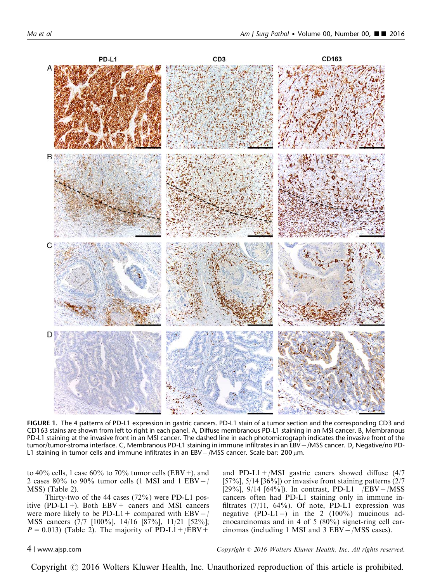<span id="page-3-0"></span>

FIGURE 1. The 4 patterns of PD-L1 expression in gastric cancers. PD-L1 stain of a tumor section and the corresponding CD3 and CD163 stains are shown from left to right in each panel. A, Diffuse membranous PD-L1 staining in an MSI cancer. B, Membranous PD-L1 staining at the invasive front in an MSI cancer. The dashed line in each photomicrograph indicates the invasive front of the tumor/tumor-stroma interface. C, Membranous PD-L1 staining in immune infiltrates in an EBV-/MSS cancer. D, Negative/no PD-L1 staining in tumor cells and immune infiltrates in an EBV $-$ /MSS cancer. Scale bar: 200 $\mu$ m.

to 40% cells, 1 case 60% to 70% tumor cells (EBV+), and 2 cases 80% to 90% tumor cells (1 MSI and 1 EBV $-$ / MSS) [\(Table 2\)](#page-5-0).

Thirty-two of the 44 cases (72%) were PD-L1 positive (PD-L1+). Both  $EBV +$  caners and MSI cancers were more likely to be PD-L1 + compared with  $EBV - /$ MSS cancers (7/7 [100%], 14/16 [87%], 11/21 [52%];  $P = 0.013$ ) [\(Table 2\)](#page-5-0). The majority of PD-L1+/EBV+

and PD-L1+/MSI gastric caners showed diffuse  $(4/7)$ [57%], 5/14 [36%]) or invasive front staining patterns  $(2/7)$ [29%], 9/14 [64%]). In contrast, PD-L1+/EBV-/MSS cancers often had PD-L1 staining only in immune infiltrates  $(7/11, 64\%)$ . Of note, PD-L1 expression was negative (PD-L1 $-$ ) in the 2 (100%) mucinous adenocarcinomas and in 4 of 5 (80%) signet-ring cell carcinomas (including 1 MSI and 3 EBV-/MSS cases).

4 <sup>|</sup> www.ajsp.com Copyright <sup>r</sup> 2016 Wolters Kluwer Health, Inc. All rights reserved.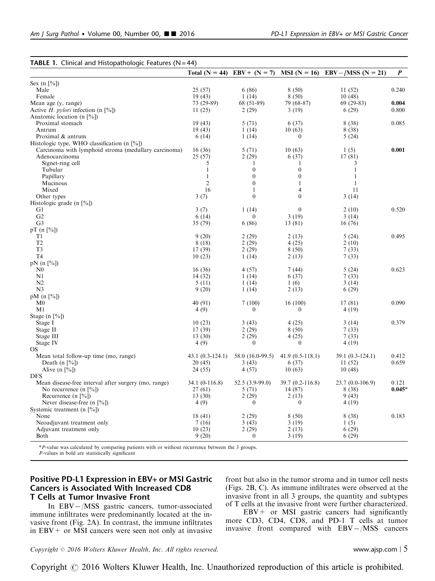<span id="page-4-0"></span>

|                                                      | Total $(N = 44)$ | $EBV + (N = 7)$  | $MSI(N = 16)$     | $EBV - /MSS (N = 21)$ | P        |
|------------------------------------------------------|------------------|------------------|-------------------|-----------------------|----------|
| Sex $(n \lceil % \rceil)$                            |                  |                  |                   |                       |          |
| Male                                                 | 25(57)           | 6(86)            | 8(50)             | 11(52)                | 0.240    |
| Female                                               | 19(43)           | 1(14)            | 8(50)             | 10(48)                |          |
| Mean age (y, range)                                  | 73 (29-89)       | 68 (51-89)       | 79 (68-87)        | $69(29-83)$           | 0.004    |
| Active $H.$ pylori infection (n [%])                 | 11(25)           | 2(29)            | 3(19)             | 6(29)                 | 0.800    |
| Anatomic location (n $[\%]$ )                        |                  |                  |                   |                       |          |
| Proximal stomach                                     | 19(43)           | 5(71)            | 6(37)             | 8(38)                 | 0.085    |
| Antrum                                               | 19(43)           | 1(14)            | 10(63)            | 8(38)                 |          |
| Proximal & antrum                                    | 6(14)            | 1(14)            | $\boldsymbol{0}$  | 5(24)                 |          |
| Histologic type, WHO classification (n $[%]$ )       |                  |                  |                   |                       |          |
| Carcinoma with lymphoid stroma (medullary carcinoma) | 16(36)           | 5(71)            | 10(63)            | 1(5)                  | 0.001    |
| Adenocarcinoma                                       | 25(57)           | 2(29)            | 6(37)             | 17(81)                |          |
| Signet-ring cell                                     | 5                | 1                | 1                 | 3                     |          |
| Tubular                                              | 1                | $\overline{0}$   | $\boldsymbol{0}$  | $\mathbf{1}$          |          |
| Papillary                                            | $\mathbf{1}$     | $\theta$         | $\mathbf{0}$      | 1                     |          |
| Mucinous                                             | $\overline{2}$   | $\mathbf{0}$     | $\mathbf{1}$      | $\mathbf{1}$          |          |
| Mixed                                                | 16               | $\mathbf{1}$     | $\overline{4}$    | 11                    |          |
| Other types                                          | 3(7)             | $\boldsymbol{0}$ | $\theta$          | 3(14)                 |          |
| Histologic grade (n [%])                             |                  |                  |                   |                       |          |
| G1                                                   | 3(7)             | 1(14)            | $\mathbf{0}$      | 2(10)                 | 0.520    |
| G <sub>2</sub>                                       | 6(14)            | $\theta$         | 3(19)             | 3(14)                 |          |
| G <sub>3</sub>                                       | 35 (79)          | 6(86)            | 13 (81)           | 16(76)                |          |
| pT (n $[\%]$ )                                       |                  |                  |                   |                       |          |
| T <sub>1</sub>                                       | 9(20)            | 2(29)            | 2(13)             | 5(24)                 | 0.495    |
| T <sub>2</sub>                                       | 8(18)            | 2(29)            | 4(25)             | 2(10)                 |          |
| T <sub>3</sub>                                       | 17(39)           | 2(29)            | 8(50)             | 7(33)                 |          |
| T <sub>4</sub>                                       | 10(23)           | 1(14)            | 2(13)             | 7(33)                 |          |
| $pN (n \lceil \% \rceil)$                            |                  |                  |                   |                       |          |
| N <sub>0</sub>                                       | 16(36)           | 4(57)            | 7(44)             | 5(24)                 | 0.623    |
| N1                                                   | 14(32)           | 1(14)            | 6(37)             | 7(33)                 |          |
| N <sub>2</sub>                                       | 5(11)            | 1(14)            | 1(6)              | 3(14)                 |          |
| N <sub>3</sub>                                       | 9(20)            | 1(14)            | 2(13)             | 6(29)                 |          |
| pM $(n \lceil \% \rceil)$                            |                  |                  |                   |                       |          |
| M <sub>0</sub>                                       | 40 (91)          | 7(100)           | 16(100)           | 17(81)                | 0.090    |
| M1                                                   | 4(9)             | $\mathbf{0}$     | $\mathbf{0}$      | 4(19)                 |          |
| Stage (n $[\%]$ )                                    |                  |                  |                   |                       |          |
| Stage I                                              | 10(23)           | 3(43)            | 4(25)             | 3(14)                 | 0.379    |
| Stage II                                             | 17(39)           | 2(29)            | 8(50)             | 7(33)                 |          |
| Stage III                                            | 13(30)           | 2(29)            | 4(25)             | 7(33)                 |          |
| Stage IV                                             | 4(9)             | $\theta$         | $\mathbf{0}$      | 4(19)                 |          |
| OS                                                   |                  |                  |                   |                       |          |
| Mean total follow-up time (mo, range)                | 43.1 (0.3-124.1) | 58.0 (16.0-99.5) | $41.9(0.5-118.1)$ | 39.1 (0.3-124.1)      | 0.412    |
| Death (n $[\%]$ )                                    | 20(45)           | 3(43)            | 6(37)             | 11(52)                | 0.659    |
| Alive $(n \lceil \frac{6}{6} \rceil)$                | 24 (55)          | 4(57)            | 10(63)            | 10(48)                |          |
| <b>DFS</b>                                           |                  |                  |                   |                       |          |
| Mean disease-free interval after surgery (mo, range) | 34.1 (0-116.8)   | $52.5(3.9-99.0)$ | 39.7 (0.2-116.8)  | 23.7 (0.0-106.9)      | 0.121    |
| No recurrence $(n \, 1\%)$                           | 27 (61)          | 5(71)            | 14 (87)           | 8(38)                 | $0.045*$ |
| Recurrence (n $[\%]$ )                               | 13(30)           | 2(29)            | 2(13)             | 9(43)                 |          |
| Never disease-free $(n \lceil \frac{9}{6} \rceil)$   | 4(9)             | $\Omega$         | $\theta$          | 4(19)                 |          |
| Systemic treatment (n $[\%]$ )                       |                  |                  |                   |                       |          |
| None                                                 | 18(41)           | 2(29)            | 8(50)             | 8(38)                 | 0.183    |
| Neoadjuvant treatment only                           | 7(16)            | 3(43)<br>2(29)   | 3(19)             | 1(5)                  |          |
| Adjuvant treatment only<br><b>Both</b>               | 10(23)           | $\theta$         | 2(13)             | 6(29)                 |          |
|                                                      | 9(20)            |                  | 3(19)             | 6(29)                 |          |

\*P-value was calculated by comparing patients with or without recurrence between the 3 groups.

P-values in bold are statistically significant

# Positive PD-L1 Expression in EBV+ or MSI Gastric Cancers is Associated With Increased CD8 T Cells at Tumor Invasive Front

In EBV-/MSS gastric cancers, tumor-associated immune infiltrates were predominantly located at the invasive front [\(Fig. 2A\)](#page-6-0). In contrast, the immune infiltrates in  $EBV + or MSI$  cancers were seen not only at invasive front but also in the tumor stroma and in tumor cell nests ([Figs. 2B, C](#page-6-0)). As immune infiltrates were observed at the invasive front in all 3 groups, the quantity and subtypes of T cells at the invasive front were further characterized.

 $EBV+$  or MSI gastric cancers had significantly more CD3, CD4, CD8, and PD-1 T cells at tumor invasive front compared with EBV-/MSS cancers

 $Copyright © 2016 Wolters Kluwer Health, Inc. All rights reserved.$  www.ajsp.com | 5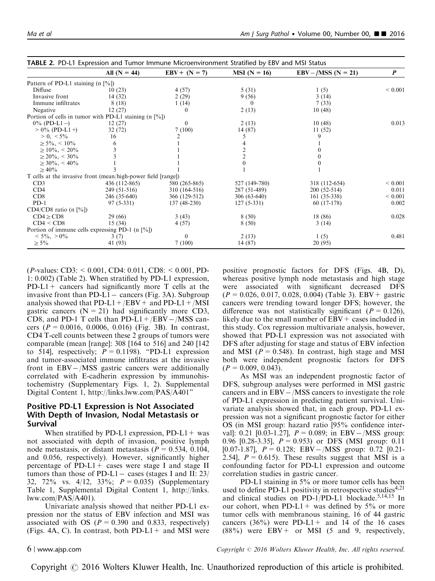|                                                               | All $(N = 44)$ | $EBV + (N = 7)$ | $MSI(N = 16)$ | $EBV - /MSS (N = 21)$ | P           |
|---------------------------------------------------------------|----------------|-----------------|---------------|-----------------------|-------------|
| Pattern of PD-L1 staining $(n \lceil \frac{9}{0} \rceil)$     |                |                 |               |                       |             |
| Diffuse                                                       | 10(23)         | 4 (57)          | 5(31)         | 1(5)                  | ${}< 0.001$ |
| Invasive front                                                | 14 (32)        | 2(29)           | 9(56)         | 3(14)                 |             |
| Immune infiltrates                                            | 8(18)          | 1(14)           | $\theta$      | 7(33)                 |             |
| Negative                                                      | 12(27)         |                 | 2(13)         | 10(48)                |             |
| Portion of cells in tumor with PD-L1 staining $(n \, [%])$    |                |                 |               |                       |             |
| $0\%$ (PD-L1 –)                                               | 12(27)         | 0               | 2(13)         | 10(48)                | 0.013       |
| $> 0\%$ (PD-L1+)                                              | 32(72)         | 7(100)          | 14 (87)       | 11(52)                |             |
| $> 0, \, \leq 5\%$                                            | 16             |                 |               |                       |             |
| $\geq 5\%$ , < 10\%                                           |                |                 |               |                       |             |
| $\geq 10\%$ , < 20%                                           |                |                 |               |                       |             |
| $\geq$ 20%, < 30%                                             |                |                 |               |                       |             |
| $\geq 30\%$ , < 40\%                                          |                |                 |               |                       |             |
| $\geq 40\%$                                                   |                |                 |               |                       |             |
| T cells at the invasive front (mean/high-power field [range]) |                |                 |               |                       |             |
| CD3                                                           | 436 (112-865)  | 580 (265-865)   | 527 (149-780) | 318 (112-654)         | ${}< 0.001$ |
| CD4                                                           | 249 (51-516)   | 310 (164-516)   | 287 (51-489)  | 200 (52-514)          | 0.011       |
| CD8                                                           | 246 (35-640)   | 366 (129-512)   | $306(63-640)$ | 161 (35-338)          | ${}< 0.001$ |
| $PD-1$                                                        | $97(5-331)$    | 137 (48-230)    | $127(5-331)$  | $60(17-178)$          | 0.002       |
| $CD4/CD8$ ratio (n [%])                                       |                |                 |               |                       |             |
| $CD4 \geq CD8$                                                | 29(66)         | 3(43)           | 8(50)         | 18 (86)               | 0.028       |
| CD4 < CD8                                                     | 15(34)         | 4(57)           | 8(50)         | 3(14)                 |             |
| Portion of immune cells expressing PD-1 (n $[\%]$ )           |                |                 |               |                       |             |
| $< 5\%$ , $> 0\%$                                             | 3(7)           | $\theta$        | 2(13)         | 1(5)                  | 0.481       |
| $\geq 5\%$                                                    | 41 (93)        | 7(100)          | 14(87)        | 20 (95)               |             |

<span id="page-5-0"></span>

(P-values: CD3: < 0.001, CD4: 0.011, CD8: < 0.001, PD-1: 0.002) (Table 2). When stratified by PD-L1 expression,  $PD-L1+$  cancers had significantly more T cells at the invasive front than PD-L1 – cancers [\(Fig. 3A\)](#page-7-0). Subgroup analysis showed that  $PD-L1+/EBV+$  and  $PD-L1+/MSI$ gastric cancers  $(N = 21)$  had significantly more CD3, CD8, and PD-1 T cells than  $PD-L1 + / EBV - / MSS$  cancers ( $P = 0.0016$ , 0.0006, 0.016) [\(Fig. 3B\)](#page-7-0). In contrast, CD4 T-cell counts between these 2 groups of tumors were comparable (mean [range]: 308 [164 to 516] and 240 [142 to 514, respectively;  $P = 0.1198$ . "PD-L1 expression and tumor-associated immune infiltrates at the invasive front in EBV-/MSS gastric cancers were additionally correlated with E-cadherin expression by immunohistochemistry (Supplementary Figs. 1, 2). Supplemental Digital Content 1, [http://links.lww.com/PAS/A401"](http://links.lww.com/PAS/A401)

### Positive PD-L1 Expression is Not Associated With Depth of Invasion, Nodal Metastasis or Survival

When stratified by PD-L1 expression,  $PD-L1+$  was not associated with depth of invasion, positive lymph node metastasis, or distant metastasis ( $P = 0.534, 0.104$ , and 0.056, respectively). However, significantly higher percentage of PD-L1+ cases were stage I and stage II tumors than those of PD-L1 – cases (stages I and II:  $23/$ 32, 72% vs. 4/12, 33%;  $P = 0.035$ ) (Supplementary Table 1, Supplemental Digital Content 1, [http://links.](http://links.lww.com/PAS/A401) [lww.com/PAS/A401\)](http://links.lww.com/PAS/A401).

Univariate analysis showed that neither PD-L1 expression nor the status of EBV infection and MSI was associated with OS ( $P = 0.390$  and 0.833, respectively) ([Figs. 4A, C](#page-8-0)). In contrast, both  $PD-L1+$  and MSI were positive prognostic factors for DFS [\(Figs. 4B, D](#page-8-0)), whereas positive lymph node metastasis and high stage were associated with significant decreased DFS  $(P = 0.026, 0.017, 0.028, 0.004)$  [\(Table 3](#page-8-0)). EBV + gastric cancers were trending toward longer DFS; however, the difference was not statistically significant ( $P = 0.126$ ), likely due to the small number of  $EBV + \text{cases}$  included in this study. Cox regression multivariate analysis, however, showed that PD-L1 expression was not associated with DFS after adjusting for stage and status of EBV infection and MSI ( $P = 0.548$ ). In contrast, high stage and MSI both were independent prognostic factors for DFS  $(P = 0.009, 0.043).$ 

As MSI was an independent prognostic factor of DFS, subgroup analyses were performed in MSI gastric cancers and in EBV-/MSS cancers to investigate the role of PD-L1 expression in predicting patient survival. Univariate analysis showed that, in each group, PD-L1 expression was not a significant prognostic factor for either OS (in MSI group: hazard ratio [95% confidence interval]: 0.21 [0.03-1.27],  $P = 0.089$ ; in EBV-/MSS group: 0.96 [0.28-3.35],  $P = 0.953$  or DFS (MSI group: 0.11 [0.07-1.87],  $P = 0.128$ ; EBV-/MSS group: 0.72 [0.21-2.54],  $P = 0.615$ . These results suggest that MSI is a confounding factor for PD-L1 expression and outcome correlation studies in gastric cancer.

PD-L1 staining in 5% or more tumor cells has been used to define PD-L1 positivity in retrospective studies<sup>[4,21](#page-9-0)</sup> and clinical studies on PD-1/PD-L1 blockade.<sup>5,14,15</sup> In our cohort, when PD-L1+ was defined by  $5\%$  or more tumor cells with membranous staining, 16 of 44 gastric cancers  $(36\%)$  were PD-L1+ and 14 of the 16 cases  $(88\%)$  were EBV + or MSI (5 and 9, respectively,

6 <sup>|</sup> www.ajsp.com Copyright <sup>r</sup> 2016 Wolters Kluwer Health, Inc. All rights reserved.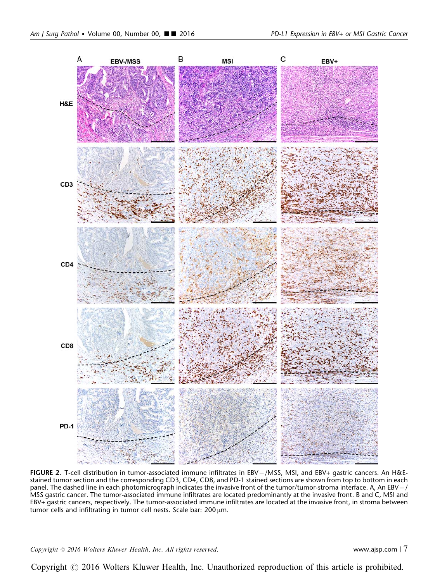<span id="page-6-0"></span>

FIGURE 2. T-cell distribution in tumor-associated immune infiltrates in EBV-/MSS, MSI, and EBV+ gastric cancers. An H&Estained tumor section and the corresponding CD3, CD4, CD8, and PD-1 stained sections are shown from top to bottom in each panel. The dashed line in each photomicrograph indicates the invasive front of the tumor/tumor-stroma interface. A, An EBV-/ MSS gastric cancer. The tumor-associated immune infiltrates are located predominantly at the invasive front. B and C, MSI and EBV+ gastric cancers, respectively. The tumor-associated immune infiltrates are located at the invasive front, in stroma between tumor cells and infiltrating in tumor cell nests. Scale bar: 200 µm.

 $Copyright © 2016 Wolters Kluwer Health, Inc. All rights reserved.$  www.ajsp.com |  $7$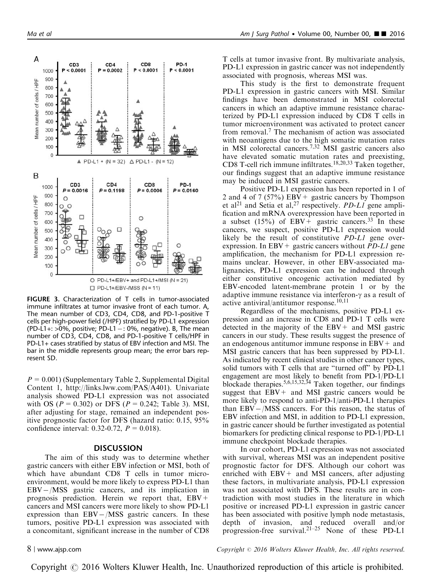$\Box$  PD-L1+/EBV-/MSS (N = 11) FIGURE 3. Characterization of T cells in tumor-associated immune infiltrates at tumor invasive front of each tumor. A, The mean number of CD3, CD4, CD8, and PD-1-positive T cells per high-power field (/HPF) stratified by PD-L1 expression  $(PD-L1+: >0\%$ , positive; PD-L1  $-$ : 0%, negative). B, The mean number of CD3, CD4, CD8, and PD-1-positive T cells/HPF in PD-L1+ cases stratified by status of EBV infection and MSI. The bar in the middle represents group mean; the error bars rep-

 $P = 0.001$ ) (Supplementary Table 2, Supplemental Digital Content 1, [http://links.lww.com/PAS/A401\)](http://links.lww.com/PAS/A401). Univariate analysis showed PD-L1 expression was not associated with OS ( $P = 0.302$ ) or DFS ( $P = 0.242$ ; [Table 3\)](#page-8-0). MSI, after adjusting for stage, remained an independent positive prognostic factor for DFS (hazard ratio: 0.15, 95% confidence interval: 0.32-0.72,  $P = 0.018$ ).

#### DISCUSSION

The aim of this study was to determine whether gastric cancers with either EBV infection or MSI, both of which have abundant CD8 T cells in tumor microenvironment, would be more likely to express PD-L1 than EBV-/MSS gastric cancers, and its implication in prognosis prediction. Herein we report that, EBV+ cancers and MSI cancers were more likely to show PD-L1 expression than EBV-/MSS gastric cancers. In these tumors, positive PD-L1 expression was associated with a concomitant, significant increase in the number of CD8 T cells at tumor invasive front. By multivariate analysis, PD-L1 expression in gastric cancer was not independently associated with prognosis, whereas MSI was.

This study is the first to demonstrate frequent PD-L1 expression in gastric cancers with MSI. Similar findings have been demonstrated in MSI colorectal cancers in which an adaptive immune resistance characterized by PD-L1 expression induced by CD8 T cells in tumor microenvironment was activated to protect cancer from removal.[7](#page-9-0) The mechanism of action was associated with neoantigens due to the high somatic mutation rates in MSI colorectal cancers.[7,32](#page-9-0) MSI gastric cancers also have elevated somatic mutation rates and preexisting, CD8 T-cell rich immune infiltrates.[18,20,33](#page-9-0) Taken together, our findings suggest that an adaptive immune resistance may be induced in MSI gastric cancers.

Positive PD-L1 expression has been reported in 1 of 2 and 4 of 7 (57%) EBV + gastric cancers by Thompson et al<sup>[21](#page-10-0)</sup> and Setia et al,<sup>[27](#page-10-0)</sup> respectively. *PD-L1* gene amplification and mRNA overexpression have been reported in a subset (15%) of EBV + gastric cancers.<sup>33</sup> In these cancers, we suspect, positive PD-L1 expression would likely be the result of constitutive PD-L1 gene overexpression. In EBV + gastric cancers without  $PD-L1$  gene amplification, the mechanism for PD-L1 expression remains unclear. However, in other EBV-associated malignancies, PD-L1 expression can be induced through either constitutive oncogenic activation mediated by EBV-encoded latent-membrane protein 1 or by the adaptive immune resistance via interferon- $\gamma$  as a result of active antiviral/antitumor response. $10,11$ 

Regardless of the mechanisms, positive PD-L1 expression and an increase in CD8 and PD-1 T cells were detected in the majority of the  $EBV +$  and MSI gastric cancers in our study. These results suggest the presence of an endogenous antitumor immune response in  $EBV+$  and MSI gastric cancers that has been suppressed by PD-L1. As indicated by recent clinical studies in other cancer types, solid tumors with T cells that are "turned off" by PD-L1 engagement are most likely to benefit from PD-1/PD-L1 blockade therapies.<sup>5,6,15,32,34</sup> Taken together, our findings suggest that  $EBV+$  and MSI gastric cancers would be more likely to respond to anti-PD-1/anti-PD-L1 therapies than EBV-/MSS cancers. For this reason, the status of EBV infection and MSI, in addition to PD-L1 expression, in gastric cancer should be further investigated as potential biomarkers for predicting clinical response to PD-1/PD-L1 immune checkpoint blockade therapies.

In our cohort, PD-L1 expression was not associated with survival, whereas MSI was an independent positive prognostic factor for DFS. Although our cohort was enriched with  $EBV+$  and MSI cancers, after adjusting these factors, in multivariate analysis, PD-L1 expression was not associated with DFS. These results are in contradiction with most studies in the literature in which positive or increased PD-L1 expression in gastric cancer has been associated with positive lymph node metastasis, depth of invasion, and reduced overall and/or progression-free survival.<sup>[21–25](#page-10-0)</sup> None of these PD-L1

resent SD.

8 <sup>|</sup> www.ajsp.com Copyright <sup>r</sup> 2016 Wolters Kluwer Health, Inc. All rights reserved.

 $\triangle$  PD-L1 - (N = 12)  $\triangle$  PD-L1 + (N = 32) CD<sub>4</sub> CD<sub>8</sub> PD-1  $P = 0.1198$  $P = 0.0006$  $P = 0.0160$ C  $\Omega$ O PD-L1+/EBV+ and PD-L1+/MSI (N = 21)

<span id="page-7-0"></span>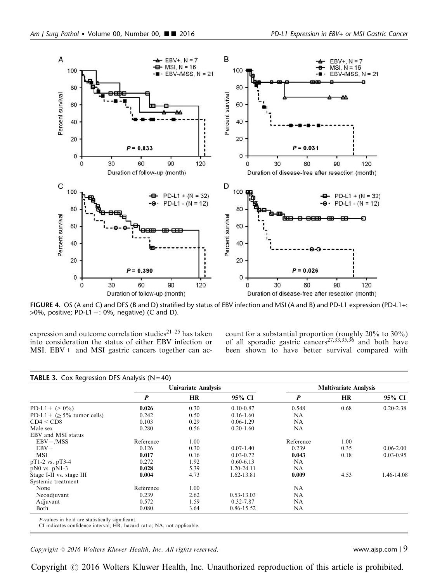<span id="page-8-0"></span>

FIGURE 4. OS (A and C) and DFS (B and D) stratified by status of EBV infection and MSI (A and B) and PD-L1 expression (PD-L1+:  $>0\%$ , positive; PD-L1 $-$ : 0%, negative) (C and D).

expression and outcome correlation studies<sup>[21–25](#page-10-0)</sup> has taken into consideration the status of either EBV infection or MSI.  $EBV +$  and MSI gastric cancers together can account for a substantial proportion (roughly 20% to 30%) of all sporadic gastric cancers<sup>[27,33,35,36](#page-10-0)</sup> and both have been shown to have better survival compared with

|                                  | <b>Univariate Analysis</b> |           |                | <b>Multivariate Analysis</b> |           |               |
|----------------------------------|----------------------------|-----------|----------------|------------------------------|-----------|---------------|
|                                  | P                          | <b>HR</b> | 95% CI         | $\boldsymbol{P}$             | <b>HR</b> | 95% CI        |
| $PD-L1+ (> 0\%)$                 | 0.026                      | 0.30      | $0.10 - 0.87$  | 0.548                        | 0.68      | $0.20 - 2.38$ |
| PD-L1 + $(\geq 5\%$ tumor cells) | 0.242                      | 0.50      | $0.16 - 1.60$  | NA                           |           |               |
| CD4 < CD8                        | 0.103                      | 0.29      | $0.06 - 1.29$  | <b>NA</b>                    |           |               |
| Male sex                         | 0.280                      | 0.56      | $0.20 - 1.60$  | <b>NA</b>                    |           |               |
| EBV and MSI status               |                            |           |                |                              |           |               |
| $EBV - / MSS$                    | Reference                  | 1.00      |                | Reference                    | 1.00      |               |
| $EBV +$                          | 0.126                      | 0.30      | $0.07 - 1.40$  | 0.239                        | 0.35      | $0.06 - 2.00$ |
| <b>MSI</b>                       | 0.017                      | 0.16      | $0.03 - 0.72$  | 0.043                        | 0.18      | $0.03 - 0.95$ |
| $pT1-2$ vs. $pT3-4$              | 0.272                      | 1.92      | $0.60 - 6.13$  | <b>NA</b>                    |           |               |
| $pN0$ vs. $pN1-3$                | 0.028                      | 5.39      | 1.20-24.11     | NA                           |           |               |
| Stage I-II vs. stage III         | 0.004                      | 4.73      | 1.62-13.81     | 0.009                        | 4.53      | 1.46-14.08    |
| Systemic treatment               |                            |           |                |                              |           |               |
| None                             | Reference                  | 1.00      |                | NA.                          |           |               |
| Neoadjuvant                      | 0.239                      | 2.62      | $0.53 - 13.03$ | NA                           |           |               |
| Adjuvant                         | 0.572                      | 1.59      | 0.32-7.87      | <b>NA</b>                    |           |               |
| Both                             | 0.080                      | 3.64      | 0.86-15.52     | <b>NA</b>                    |           |               |

CI indicates confidence interval; HR, hazard ratio; NA, not applicable.

 $Copyright © 2016 Wolters Kluwer Health, Inc. All rights reserved.$  www.ajsp.com | 9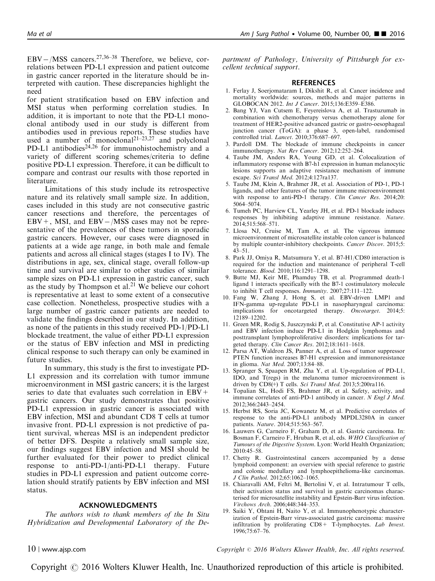<span id="page-9-0"></span> $EBV - / MSS$  cancers.<sup>[27,36–38](#page-10-0)</sup> Therefore, we believe, correlations between PD-L1 expression and patient outcome in gastric cancer reported in the literature should be interpreted with caution. These discrepancies highlight the need

for patient stratification based on EBV infection and MSI status when performing correlation studies. In addition, it is important to note that the PD-L1 monoclonal antibody used in our study is different from antibodies used in previous reports. These studies have used a number of monoclonal<sup>21–23,27</sup> and polyclonal PD-L1 antibodies $24,26$  for immunohistochemistry and a variety of different scoring schemes/criteria to define positive PD-L1 expression. Therefore, it can be difficult to compare and contrast our results with those reported in literature.

Limitations of this study include its retrospective nature and its relatively small sample size. In addition, cases included in this study are not consecutive gastric cancer resections and therefore, the percentages of  $EBV +$ , MSI, and  $EBV - / MSS$  cases may not be representative of the prevalences of these tumors in sporadic gastric cancers. However, our cases were diagnosed in patients at a wide age range, in both male and female patients and across all clinical stages (stages I to IV). The distributions in age, sex, clinical stage, overall follow-up time and survival are similar to other studies of similar sample sizes on PD-L1 expression in gastric cancer, such as the study by Thompson et al. $21$  We believe our cohort is representative at least to some extent of a consecutive case collection. Nonetheless, prospective studies with a large number of gastric cancer patients are needed to validate the findings described in our study. In addition, as none of the patients in this study received PD-1/PD-L1 blockade treatment, the value of either PD-L1 expression or the status of EBV infection and MSI in predicting clinical response to such therapy can only be examined in future studies.

In summary, this study is the first to investigate PD-L1 expression and its correlation with tumor immune microenvironment in MSI gastric cancers; it is the largest series to date that evaluates such correlation in  $EBV +$ gastric cancers. Our study demonstrates that positive PD-L1 expression in gastric cancer is associated with EBV infection, MSI and abundant CD8 T cells at tumor invasive front. PD-L1 expression is not predictive of patient survival, whereas MSI is an independent predictor of better DFS. Despite a relatively small sample size, our findings suggest EBV infection and MSI should be further evaluated for their power to predict clinical response to anti-PD-1/anti-PD-L1 therapy. Future studies in PD-L1 expression and patient outcome correlation should stratify patients by EBV infection and MSI status.

#### ACKNOWLEDGMENTS

The authors wish to thank members of the In Situ Hybridization and Developmental Laboratory of the Department of Pathology, University of Pittsburgh for excellent technical support.

#### REFERENCES

- 1. Ferlay J, Soerjomataram I, Dikshit R, et al. Cancer incidence and mortality worldwide: sources, methods and major patterns in GLOBOCAN 2012. Int J Cancer. 2015;136:E359–E386.
- 2. Bang YJ, Van Cutsem E, Feyereislova A, et al. Trastuzumab in combination with chemotherapy versus chemotherapy alone for treatment of HER2-positive advanced gastric or gastro-oesophageal junction cancer (ToGA): a phase 3, open-label, randomised controlled trial. *Lancet*. 2010;376:687-697.
- 3. Pardoll DM. The blockade of immune checkpoints in cancer immunotherapy. Nat Rev Cancer. 2012;12:252–264.
- 4. Taube JM, Anders RA, Young GD, et al. Colocalization of inflammatory response with B7-h1 expression in human melanocytic lesions supports an adaptive resistance mechanism of immune escape. Sci Transl Med. 2012;4:127ra137.
- 5. Taube JM, Klein A, Brahmer JR, et al. Association of PD-1, PD-1 ligands, and other features of the tumor immune microenvironment with response to anti-PD-1 therapy. Clin Cancer Res. 2014;20: 5064–5074.
- 6. Tumeh PC, Harview CL, Yearley JH, et al. PD-1 blockade induces responses by inhibiting adaptive immune resistance. Nature. 2014;515:568–571.
- 7. Llosa NJ, Cruise M, Tam A, et al. The vigorous immune microenvironment of microsatellite instable colon cancer is balanced by multiple counter-inhibitory checkpoints. Cancer Discov. 2015;5: 43–51.
- 8. Park JJ, Omiya R, Matsumura Y, et al. B7-H1/CD80 interaction is required for the induction and maintenance of peripheral T-cell tolerance. Blood. 2010;116:1291–1298.
- 9. Butte MJ, Keir ME, Phamduy TB, et al. Programmed death-1 ligand 1 interacts specifically with the B7-1 costimulatory molecule to inhibit T cell responses. Immunity. 2007;27:111–122.
- 10. Fang W, Zhang J, Hong S, et al. EBV-driven LMP1 and IFN-gamma up-regulate PD-L1 in nasopharyngeal carcinoma: implications for oncotargeted therapy. Oncotarget. 2014;5: 12189–12202.
- 11. Green MR, Rodig S, Juszczynski P, et al. Constitutive AP-1 activity and EBV infection induce PD-L1 in Hodgkin lymphomas and posttransplant lymphoproliferative disorders: implications for targeted therapy. Clin Cancer Res. 2012;18:1611-1618.
- 12. Parsa AT, Waldron JS, Panner A, et al. Loss of tumor suppressor PTEN function increases B7-H1 expression and immunoresistance in glioma. Nat Med. 2007;13:84–88.
- 13. Spranger S, Spaapen RM, Zha Y, et al. Up-regulation of PD-L1, IDO, and T(regs) in the melanoma tumor microenvironment is driven by CD8(+) T cells. Sci Transl Med. 2013;5:200ra116.
- 14. Topalian SL, Hodi FS, Brahmer JR, et al. Safety, activity, and immune correlates of anti-PD-1 antibody in cancer. N Engl J Med. 2012;366:2443–2454.
- 15. Herbst RS, Soria JC, Kowanetz M, et al. Predictive correlates of response to the anti-PD-L1 antibody MPDL3280A in cancer patients. Nature. 2014;515:563–567.
- 16. Lauwers G, Carneiro F, Graham D, et al. Gastric carcinoma. In: Bosman F, Carneiro F, Hruban R, et al, eds. WHO Classification of Tumours of the Digestive System. Lyon: World Health Organization; 2010:45–58.
- 17. Chetty R. Gastrointestinal cancers accompanied by a dense lymphoid component: an overview with special reference to gastric and colonic medullary and lymphoepithelioma-like carcinomas. J Clin Pathol. 2012;65:1062–1065.
- 18. Chiaravalli AM, Feltri M, Bertolini V, et al. Intratumour T cells, their activation status and survival in gastric carcinomas characterised for microsatellite instability and Epstein-Barr virus infection. Virchows Arch. 2006;448:344–353.
- 19. Saiki Y, Ohtani H, Naito Y, et al. Immunophenotypic characterization of Epstein-Barr virus-associated gastric carcinoma: massive infiltration by proliferating CD8+ T-lymphocytes. Lab Invest. 1996;75:67–76.

10 <sup>|</sup> www.ajsp.com Copyright <sup>r</sup> 2016 Wolters Kluwer Health, Inc. All rights reserved.